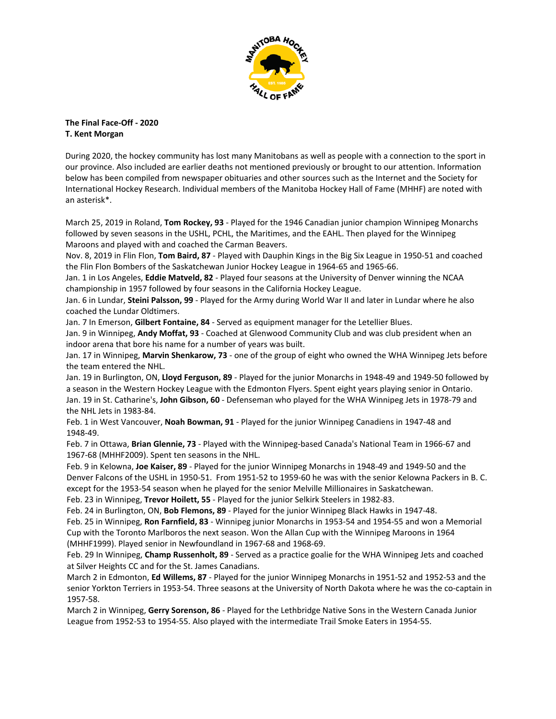

**The Final Face‐Off ‐ 2020 T. Kent Morgan**

During 2020, the hockey community has lost many Manitobans as well as people with a connection to the sport in our province. Also included are earlier deaths not mentioned previously or brought to our attention. Information below has been compiled from newspaper obituaries and other sources such as the Internet and the Society for International Hockey Research. Individual members of the Manitoba Hockey Hall of Fame (MHHF) are noted with an asterisk\*.

March 25, 2019 in Roland, **Tom Rockey, 93** ‐ Played for the 1946 Canadian junior champion Winnipeg Monarchs followed by seven seasons in the USHL, PCHL, the Maritimes, and the EAHL. Then played for the Winnipeg Maroons and played with and coached the Carman Beavers.

Nov. 8, 2019 in Flin Flon, **Tom Baird, 87** ‐ Played with Dauphin Kings in the Big Six League in 1950‐51 and coached the Flin Flon Bombers of the Saskatchewan Junior Hockey League in 1964‐65 and 1965‐66.

Jan. 1 in Los Angeles, **Eddie Matveld, 82** ‐ Played four seasons at the University of Denver winning the NCAA championship in 1957 followed by four seasons in the California Hockey League.

Jan. 6 in Lundar, **Steini Palsson, 99** ‐ Played for the Army during World War II and later in Lundar where he also coached the Lundar Oldtimers.

Jan. 7 In Emerson, **Gilbert Fontaine, 84** ‐ Served as equipment manager for the Letellier Blues.

Jan. 9 in Winnipeg, **Andy Moffat, 93** ‐ Coached at Glenwood Community Club and was club president when an indoor arena that bore his name for a number of years was built.

Jan. 17 in Winnipeg, **Marvin Shenkarow, 73** ‐ one of the group of eight who owned the WHA Winnipeg Jets before the team entered the NHL.

Jan. 19 in Burlington, ON, **Lloyd Ferguson, 89** ‐ Played for the junior Monarchs in 1948‐49 and 1949‐50 followed by a season in the Western Hockey League with the Edmonton Flyers. Spent eight years playing senior in Ontario. Jan. 19 in St. Catharine's, **John Gibson, 60** ‐ Defenseman who played for the WHA Winnipeg Jets in 1978‐79 and the NHL Jets in 1983‐84.

Feb. 1 in West Vancouver, **Noah Bowman, 91** ‐ Played for the junior Winnipeg Canadiens in 1947‐48 and 1948‐49.

Feb. 7 in Ottawa, **Brian Glennie, 73** ‐ Played with the Winnipeg‐based Canada's National Team in 1966‐67 and 1967‐68 (MHHF2009). Spent ten seasons in the NHL.

Feb. 9 in Kelowna, **Joe Kaiser, 89** ‐ Played for the junior Winnipeg Monarchs in 1948‐49 and 1949‐50 and the Denver Falcons of the USHL in 1950‐51. From 1951‐52 to 1959‐60 he was with the senior Kelowna Packers in B. C. except for the 1953‐54 season when he played for the senior Melville Millionaires in Saskatchewan.

Feb. 23 in Winnipeg, **Trevor Hoilett, 55** ‐ Played for the junior Selkirk Steelers in 1982‐83.

Feb. 24 in Burlington, ON, **Bob Flemons, 89** ‐ Played for the junior Winnipeg Black Hawks in 1947‐48.

Feb. 25 in Winnipeg, **Ron Farnfield, 83** ‐ Winnipeg junior Monarchs in 1953‐54 and 1954‐55 and won a Memorial Cup with the Toronto Marlboros the next season. Won the Allan Cup with the Winnipeg Maroons in 1964 (MHHF1999). Played senior in Newfoundland in 1967‐68 and 1968‐69.

Feb. 29 In Winnipeg, **Champ Russenholt, 89** ‐ Served as a practice goalie for the WHA Winnipeg Jets and coached at Silver Heights CC and for the St. James Canadians.

March 2 in Edmonton, **Ed Willems, 87** ‐ Played for the junior Winnipeg Monarchs in 1951‐52 and 1952‐53 and the senior Yorkton Terriers in 1953‐54. Three seasons at the University of North Dakota where he was the co‐captain in 1957‐58.

March 2 in Winnipeg, **Gerry Sorenson, 86** ‐ Played for the Lethbridge Native Sons in the Western Canada Junior League from 1952‐53 to 1954‐55. Also played with the intermediate Trail Smoke Eaters in 1954‐55.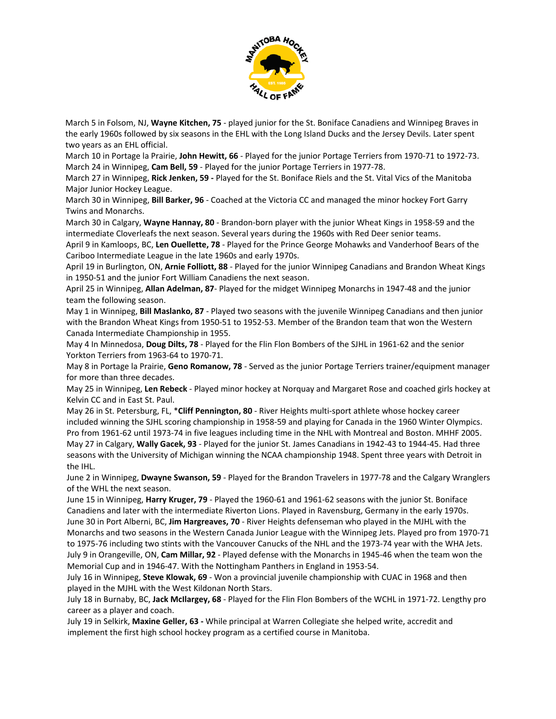

March 5 in Folsom, NJ, **Wayne Kitchen, 75** ‐ played junior for the St. Boniface Canadiens and Winnipeg Braves in the early 1960s followed by six seasons in the EHL with the Long Island Ducks and the Jersey Devils. Later spent two years as an EHL official.

March 10 in Portage la Prairie, **John Hewitt, 66** ‐ Played for the junior Portage Terriers from 1970‐71 to 1972‐73. March 24 in Winnipeg, **Cam Bell, 59** ‐ Played for the junior Portage Terriers in 1977‐78.

March 27 in Winnipeg, **Rick Jenken, 59 ‐** Played for the St. Boniface Riels and the St. Vital Vics of the Manitoba Major Junior Hockey League.

March 30 in Winnipeg, **Bill Barker, 96** ‐ Coached at the Victoria CC and managed the minor hockey Fort Garry Twins and Monarchs.

March 30 in Calgary, **Wayne Hannay, 80** ‐ Brandon‐born player with the junior Wheat Kings in 1958‐59 and the intermediate Cloverleafs the next season. Several years during the 1960s with Red Deer senior teams.

April 9 in Kamloops, BC, **Len Ouellette, 78** ‐ Played for the Prince George Mohawks and Vanderhoof Bears of the Cariboo Intermediate League in the late 1960s and early 1970s.

April 19 in Burlington, ON, **Arnie Folliott, 88** ‐ Played for the junior Winnipeg Canadians and Brandon Wheat Kings in 1950‐51 and the junior Fort William Canadiens the next season.

April 25 in Winnipeg, **Allan Adelman, 87**‐ Played for the midget Winnipeg Monarchs in 1947‐48 and the junior team the following season.

May 1 in Winnipeg, **Bill Maslanko, 87** ‐ Played two seasons with the juvenile Winnipeg Canadians and then junior with the Brandon Wheat Kings from 1950‐51 to 1952‐53. Member of the Brandon team that won the Western Canada Intermediate Championship in 1955.

May 4 In Minnedosa, **Doug Dilts, 78** ‐ Played for the Flin Flon Bombers of the SJHL in 1961‐62 and the senior Yorkton Terriers from 1963‐64 to 1970‐71.

May 8 in Portage la Prairie, **Geno Romanow, 78** ‐ Served as the junior Portage Terriers trainer/equipment manager for more than three decades.

May 25 in Winnipeg, **Len Rebeck** ‐ Played minor hockey at Norquay and Margaret Rose and coached girls hockey at Kelvin CC and in East St. Paul.

May 26 in St. Petersburg, FL, \***Cliff Pennington, 80** ‐ River Heights multi‐sport athlete whose hockey career included winning the SJHL scoring championship in 1958‐59 and playing for Canada in the 1960 Winter Olympics. Pro from 1961‐62 until 1973‐74 in five leagues including time in the NHL with Montreal and Boston. MHHF 2005. May 27 in Calgary, **Wally Gacek, 93** ‐ Played for the junior St. James Canadians in 1942‐43 to 1944‐45. Had three seasons with the University of Michigan winning the NCAA championship 1948. Spent three years with Detroit in the IHL.

June 2 in Winnipeg, **Dwayne Swanson, 59** ‐ Played for the Brandon Travelers in 1977‐78 and the Calgary Wranglers of the WHL the next season.

June 15 in Winnipeg, **Harry Kruger, 79** ‐ Played the 1960‐61 and 1961‐62 seasons with the junior St. Boniface Canadiens and later with the intermediate Riverton Lions. Played in Ravensburg, Germany in the early 1970s. June 30 in Port Alberni, BC, **Jim Hargreaves, 70** ‐ River Heights defenseman who played in the MJHL with the Monarchs and two seasons in the Western Canada Junior League with the Winnipeg Jets. Played pro from 1970‐71 to 1975‐76 including two stints with the Vancouver Canucks of the NHL and the 1973‐74 year with the WHA Jets. July 9 in Orangeville, ON, **Cam Millar, 92** ‐ Played defense with the Monarchs in 1945‐46 when the team won the Memorial Cup and in 1946‐47. With the Nottingham Panthers in England in 1953‐54.

July 16 in Winnipeg, **Steve Klowak, 69** ‐ Won a provincial juvenile championship with CUAC in 1968 and then played in the MJHL with the West Kildonan North Stars.

July 18 in Burnaby, BC, **Jack McIlargey, 68** ‐ Played for the Flin Flon Bombers of the WCHL in 1971‐72. Lengthy pro career as a player and coach.

July 19 in Selkirk, **Maxine Geller, 63 ‐** While principal at Warren Collegiate she helped write, accredit and implement the first high school hockey program as a certified course in Manitoba.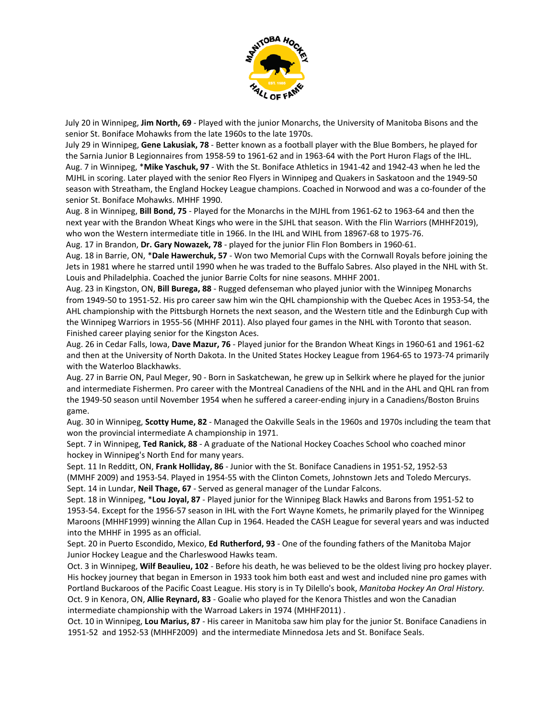

July 20 in Winnipeg, **Jim North, 69** ‐ Played with the junior Monarchs, the University of Manitoba Bisons and the senior St. Boniface Mohawks from the late 1960s to the late 1970s.

July 29 in Winnipeg, **Gene Lakusiak, 78** ‐ Better known as a football player with the Blue Bombers, he played for the Sarnia Junior B Legionnaires from 1958‐59 to 1961‐62 and in 1963‐64 with the Port Huron Flags of the IHL. Aug. 7 in Winnipeg, \***Mike Yaschuk, 97** ‐ With the St. Boniface Athletics in 1941‐42 and 1942‐43 when he led the MJHL in scoring. Later played with the senior Reo Flyers in Winnipeg and Quakers in Saskatoon and the 1949‐50 season with Streatham, the England Hockey League champions. Coached in Norwood and was a co-founder of the senior St. Boniface Mohawks. MHHF 1990.

Aug. 8 in Winnipeg, **Bill Bond, 75** ‐ Played for the Monarchs in the MJHL from 1961‐62 to 1963‐64 and then the next year with the Brandon Wheat Kings who were in the SJHL that season. With the Flin Warriors (MHHF2019), who won the Western intermediate title in 1966. In the IHL and WIHL from 18967‐68 to 1975‐76.

Aug. 17 in Brandon, **Dr. Gary Nowazek, 78** ‐ played for the junior Flin Flon Bombers in 1960‐61.

Aug. 18 in Barrie, ON, \***Dale Hawerchuk, 57** ‐ Won two Memorial Cups with the Cornwall Royals before joining the Jets in 1981 where he starred until 1990 when he was traded to the Buffalo Sabres. Also played in the NHL with St. Louis and Philadelphia. Coached the junior Barrie Colts for nine seasons. MHHF 2001.

Aug. 23 in Kingston, ON, **Bill Burega, 88** ‐ Rugged defenseman who played junior with the Winnipeg Monarchs from 1949‐50 to 1951‐52. His pro career saw him win the QHL championship with the Quebec Aces in 1953‐54, the AHL championship with the Pittsburgh Hornets the next season, and the Western title and the Edinburgh Cup with the Winnipeg Warriors in 1955‐56 (MHHF 2011). Also played four games in the NHL with Toronto that season. Finished career playing senior for the Kingston Aces.

Aug. 26 in Cedar Falls, Iowa, **Dave Mazur, 76** ‐ Played junior for the Brandon Wheat Kings in 1960‐61 and 1961‐62 and then at the University of North Dakota. In the United States Hockey League from 1964‐65 to 1973‐74 primarily with the Waterloo Blackhawks.

Aug. 27 in Barrie ON, Paul Meger, 90 ‐ Born in Saskatchewan, he grew up in Selkirk where he played for the junior and intermediate Fishermen. Pro career with the Montreal Canadiens of the NHL and in the AHL and QHL ran from the 1949‐50 season until November 1954 when he suffered a career‐ending injury in a Canadiens/Boston Bruins game.

Aug. 30 in Winnipeg, **Scotty Hume, 82** ‐ Managed the Oakville Seals in the 1960s and 1970s including the team that won the provincial intermediate A championship in 1971.

Sept. 7 in Winnipeg, **Ted Ranick, 88** ‐ A graduate of the National Hockey Coaches School who coached minor hockey in Winnipeg's North End for many years.

Sept. 11 In Redditt, ON, **Frank Holliday, 86** ‐ Junior with the St. Boniface Canadiens in 1951‐52, 1952‐53 (MMHF 2009) and 1953‐54. Played in 1954‐55 with the Clinton Comets, Johnstown Jets and Toledo Mercurys. Sept. 14 in Lundar, **Neil Thage, 67** ‐ Served as general manager of the Lundar Falcons.

Sept. 18 in Winnipeg, \***Lou Joyal, 87** ‐ Played junior for the Winnipeg Black Hawks and Barons from 1951‐52 to 1953‐54. Except for the 1956‐57 season in IHL with the Fort Wayne Komets, he primarily played for the Winnipeg Maroons (MHHF1999) winning the Allan Cup in 1964. Headed the CASH League for several years and was inducted into the MHHF in 1995 as an official.

Sept. 20 in Puerto Escondido, Mexico, **Ed Rutherford, 93** ‐ One of the founding fathers of the Manitoba Major Junior Hockey League and the Charleswood Hawks team.

Oct. 3 in Winnipeg, **Wilf Beaulieu, 102** ‐ Before his death, he was believed to be the oldest living pro hockey player. His hockey journey that began in Emerson in 1933 took him both east and west and included nine pro games with Portland Buckaroos of the Pacific Coast League. His story is in Ty Dilello's book, *Manitoba Hockey An Oral History.* Oct. 9 in Kenora, ON, **Allie Reynard, 83** ‐ Goalie who played for the Kenora Thistles and won the Canadian intermediate championship with the Warroad Lakers in 1974 (MHHF2011) .

Oct. 10 in Winnipeg, **Lou Marius, 87** ‐ His career in Manitoba saw him play for the junior St. Boniface Canadiens in 1951‐52 and 1952‐53 (MHHF2009) and the intermediate Minnedosa Jets and St. Boniface Seals.